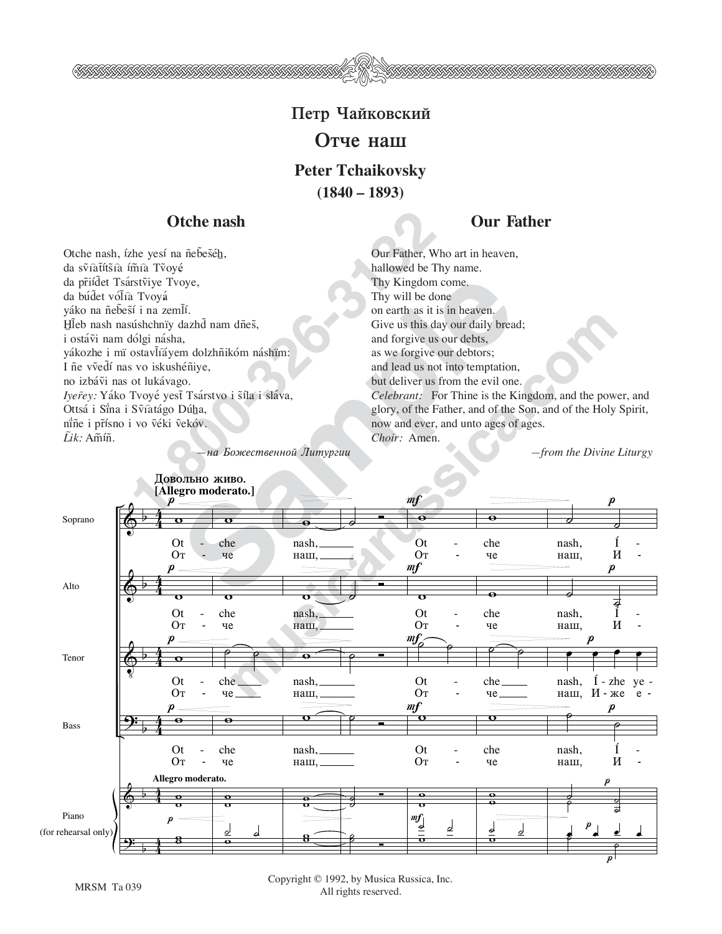## Петр Чайковский **Отче наш Peter Tchaikovsky (1840 – 1893)**

## Otche nash

**Our Father**

**1-800-326-3132**<br> **1-800-326-3132**<br> **1-800-326-3132**<br> **1-800-40-326-3132**<br> **1-800-40-326-3132**<br> **1-800-40-326-3132**<br> **1-800-326-314**<br> **1-800-326-314**<br> **1-800-326-314**<br> **1-800-326-3144**<br> **1-800-326-3144**<br> **1-800-326-31444**<br> Otche nash, ízhe yesí na ñebeseh, da svîâtítšîa ímîa Tvoyé da priídet Tsárstviye Tvoye, da búd̃et vól̃ia Tvoyá váko na ñebeší i na zemlí. Hleb nash nasúshchnïy dazhd nam dñes, i ostáṽi nam dólgi násha, yákozhe i mï ostavl̃íáyem dolzhñikóm náshïm: I ñe vvedí nas vo iskushéñiye, no izbávi nas ot lukávago.  $I$ yer̃ey: Yáko Tvoyé yest Tsárstvo i stíla i sláva, Ottsá i Sina i Sṽiatágo Dúha, niñe i prísno i vo véki vekóv.  $\tilde{L}$ *ik*: Am̃íñ.

**на Божественной Литургии** 

Our Father, Who art in heaven, hallowed be Thy name. Thy Kingdom come. Thy will be done on earth as it is in heaven. Give us this day our daily bread; and forgive us our debts, as we forgive our debtors; and lead us not into temptation, but deliver us from the evil one.

*Celebrant:* For Thine is the Kingdom, and the power, and glory, of the Father, and of the Son, and of the Holy Spirit, now and ever, and unto ages of ages. *Choir:* Amen.

*—from the Divine Liturgy*



Copyright © 1992, by Musica Russica, Inc. All rights reserved.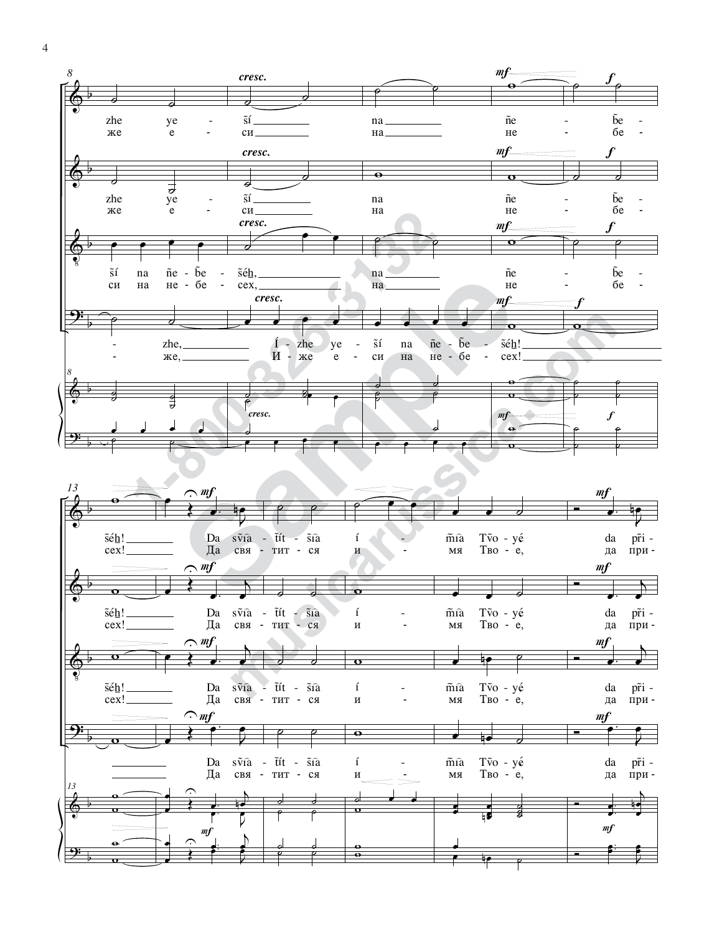

4

w

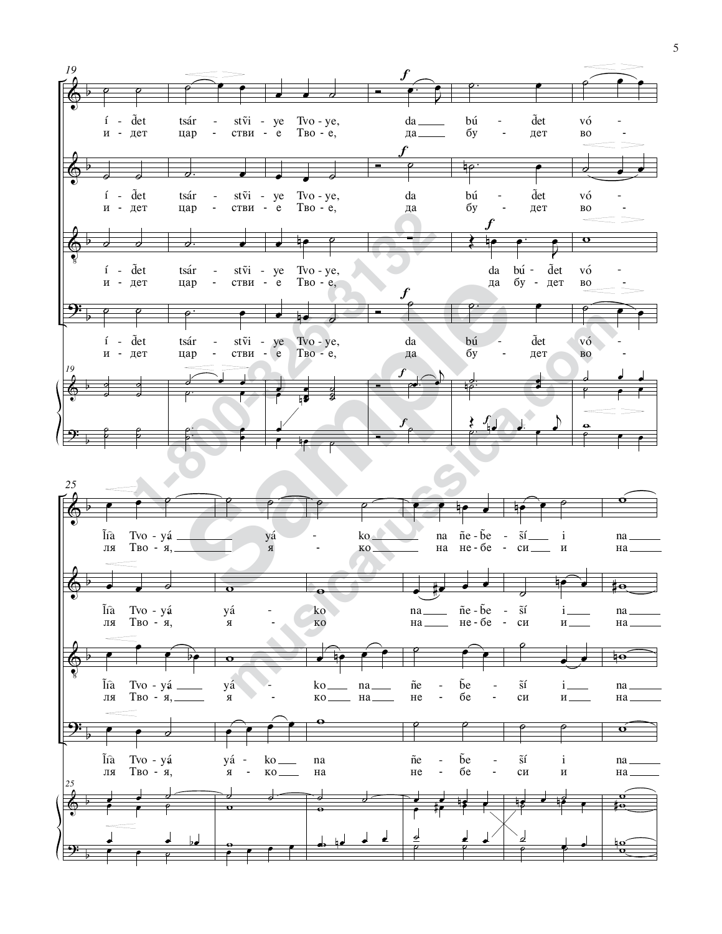

5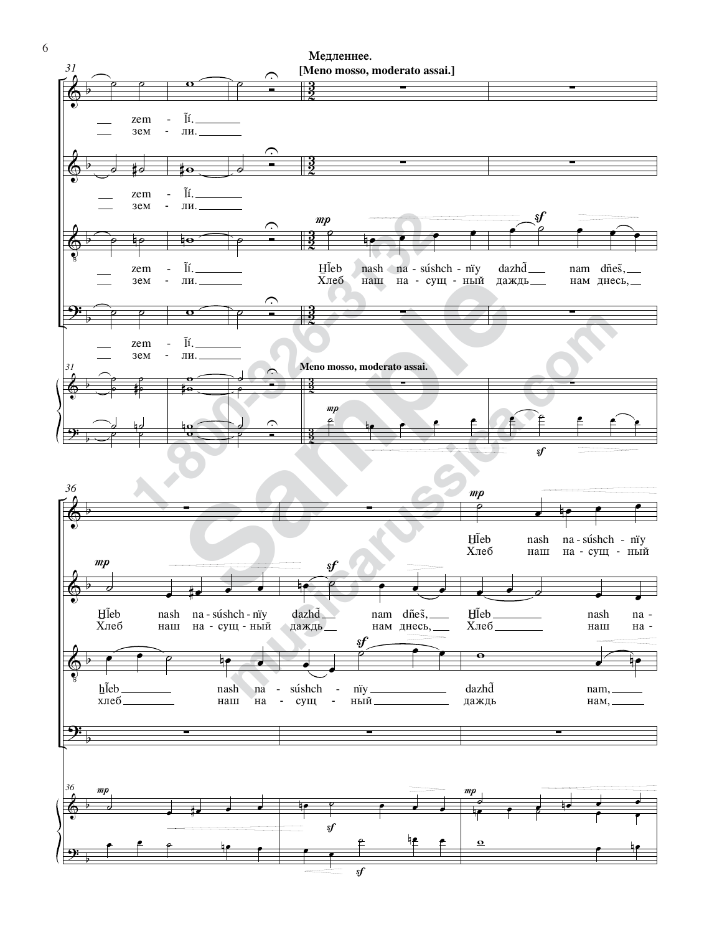

 $\overline{\phantom{a}}$ 

6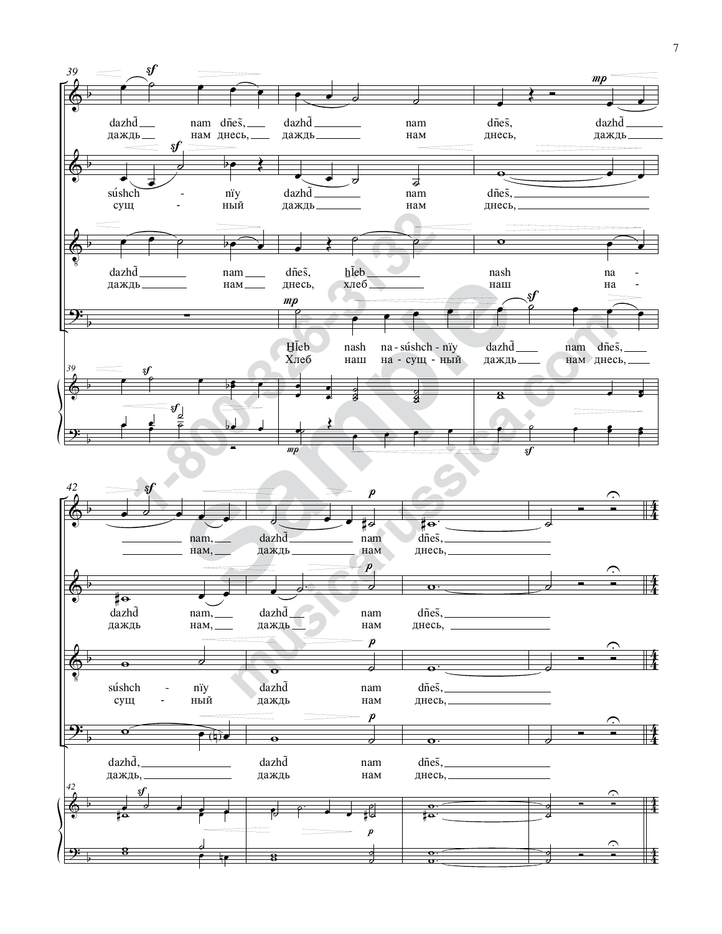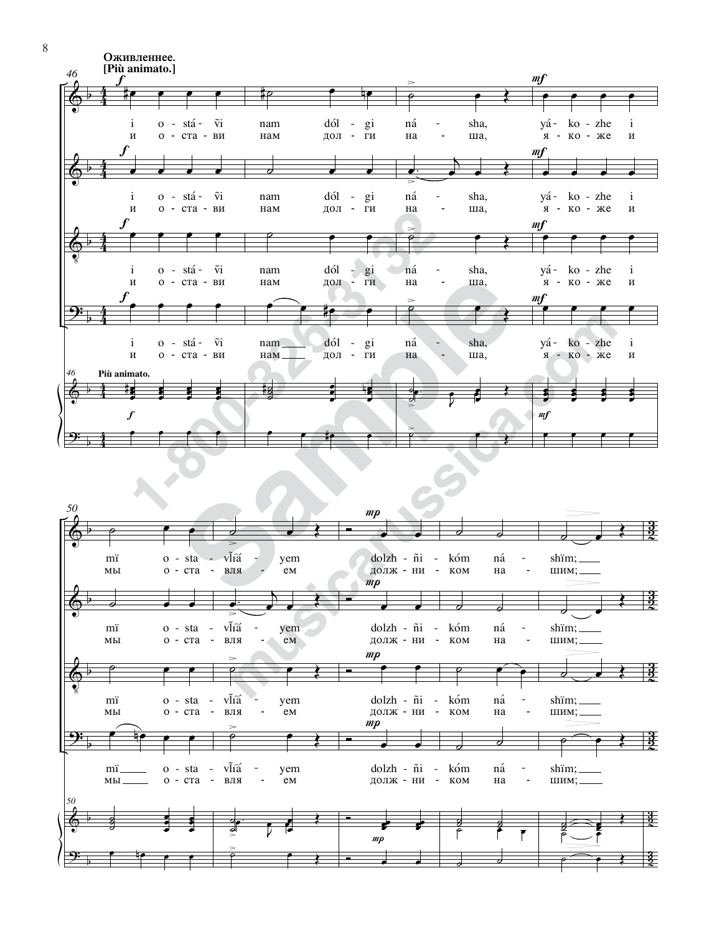



8